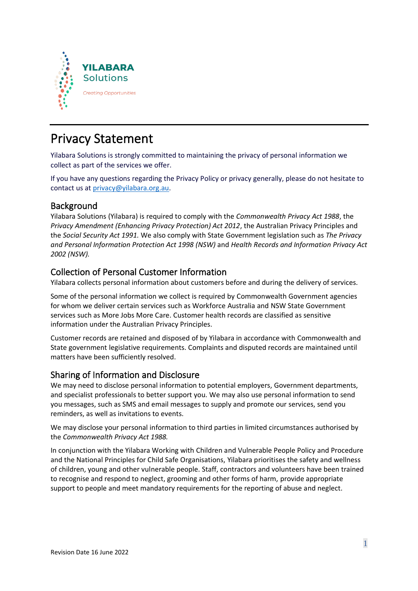

# Privacy Statement

Yilabara Solutions is strongly committed to maintaining the privacy of personal information we collect as part of the services we offer.

If you have any questions regarding the Privacy Policy or privacy generally, please do not hesitate to contact us at [privacy@yilabara.org.au.](mailto:privacy@yilabara.org.au)

### Background

Yilabara Solutions (Yilabara) is required to comply with the *Commonwealth Privacy Act 1988*, the *Privacy Amendment (Enhancing Privacy Protection) Act 2012*, the Australian Privacy Principles and the *Social Security Act 1991.* We also comply with State Government legislation such as *The Privacy and Personal Information Protection Act 1998 (NSW)* and *Health Records and Information Privacy Act 2002 (NSW).*

### Collection of Personal Customer Information

Yilabara collects personal information about customers before and during the delivery of services.

Some of the personal information we collect is required by Commonwealth Government agencies for whom we deliver certain services such as Workforce Australia and NSW State Government services such as More Jobs More Care. Customer health records are classified as sensitive information under the Australian Privacy Principles.

Customer records are retained and disposed of by Yilabara in accordance with Commonwealth and State government legislative requirements. Complaints and disputed records are maintained until matters have been sufficiently resolved.

## Sharing of Information and Disclosure

We may need to disclose personal information to potential employers, Government departments, and specialist professionals to better support you. We may also use personal information to send you messages, such as SMS and email messages to supply and promote our services, send you reminders, as well as invitations to events.

We may disclose your personal information to third parties in limited circumstances authorised by the *Commonwealth Privacy Act 1988.*

In conjunction with the Yilabara Working with Children and Vulnerable People Policy and Procedure and the National Principles for Child Safe Organisations, Yilabara prioritises the safety and wellness of children, young and other vulnerable people. Staff, contractors and volunteers have been trained to recognise and respond to neglect, grooming and other forms of harm, provide appropriate support to people and meet mandatory requirements for the reporting of abuse and neglect.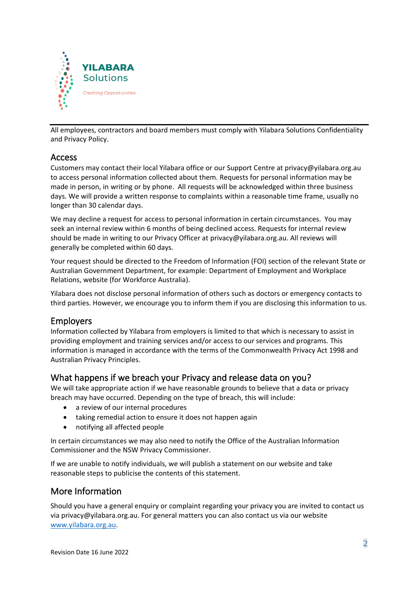

All employees, contractors and board members must comply with Yilabara Solutions Confidentiality and Privacy Policy.

### Access

Customers may contact their local Yilabara office or our Support Centre at privacy@yilabara.org.au to access personal information collected about them. Requests for personal information may be made in person, in writing or by phone. All requests will be acknowledged within three business days. We will provide a written response to complaints within a reasonable time frame, usually no longer than 30 calendar days.

We may decline a request for access to personal information in certain circumstances. You may seek an internal review within 6 months of being declined access. Requests for internal review should be made in writing to our Privacy Officer at privacy@yilabara.org.au. All reviews will generally be completed within 60 days.

Your request should be directed to the Freedom of Information (FOI) section of the relevant State or Australian Government Department, for example: Department of Employment and Workplace Relations, website (for Workforce Australia).

Yilabara does not disclose personal information of others such as doctors or emergency contacts to third parties. However, we encourage you to inform them if you are disclosing this information to us.

#### Employers

Information collected by Yilabara from employers is limited to that which is necessary to assist in providing employment and training services and/or access to our services and programs. This information is managed in accordance with the terms of the Commonwealth Privacy Act 1998 and Australian Privacy Principles.

### What happens if we breach your Privacy and release data on you?

We will take appropriate action if we have reasonable grounds to believe that a data or privacy breach may have occurred. Depending on the type of breach, this will include:

- a review of our internal procedures
- taking remedial action to ensure it does not happen again
- notifying all affected people

In certain circumstances we may also need to notify the Office of the Australian Information Commissioner and the NSW Privacy Commissioner.

If we are unable to notify individuals, we will publish a statement on our website and take reasonable steps to publicise the contents of this statement.

### More Information

Should you have a general enquiry or complaint regarding your privacy you are invited to contact us via privacy@yilabara.org.au. For general matters you can also contact us via our website [www.yilabara.org.au.](http://www.yilabara.org.au/)